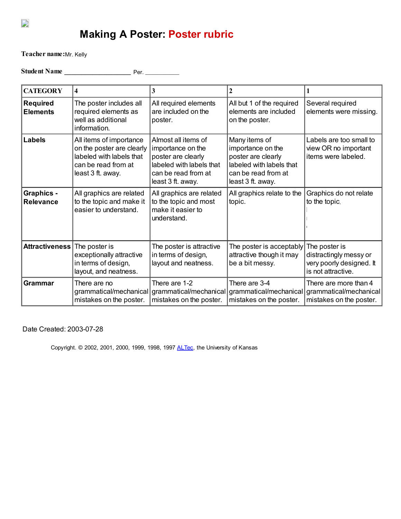

## Making A Poster: Poster rubric

Teacher name: Mr. Kelly

Student Name \_\_\_\_\_\_\_\_\_\_\_\_\_\_\_\_\_\_\_ Per. \_\_\_\_\_\_\_\_\_\_\_\_

| <b>CATEGORY</b>                       | $\overline{\mathbf{4}}$                                                                                                      | 3                                                                                                                                      | $\mathbf{2}$                                                                                                                     |                                                                                           |
|---------------------------------------|------------------------------------------------------------------------------------------------------------------------------|----------------------------------------------------------------------------------------------------------------------------------------|----------------------------------------------------------------------------------------------------------------------------------|-------------------------------------------------------------------------------------------|
| <b>Required</b><br><b>Elements</b>    | The poster includes all<br>required elements as<br>well as additional<br>information.                                        | All required elements<br>are included on the<br>poster.                                                                                | All but 1 of the required<br>elements are included<br>on the poster.                                                             | Several required<br>elements were missing.                                                |
| <b>Labels</b>                         | All items of importance<br>on the poster are clearly<br>labeled with labels that<br>can be read from at<br>least 3 ft. away. | Almost all items of<br>importance on the<br>poster are clearly<br>labeled with labels that<br>can be read from at<br>least 3 ft. away. | Many items of<br>importance on the<br>poster are clearly<br>labeled with labels that<br>can be read from at<br>least 3 ft. away. | Labels are too small to<br>view OR no important<br>items were labeled.                    |
| <b>Graphics -</b><br><b>Relevance</b> | All graphics are related<br>to the topic and make it<br>easier to understand.                                                | All graphics are related<br>to the topic and most<br>make it easier to<br>understand.                                                  | All graphics relate to the<br>topic.                                                                                             | Graphics do not relate<br>to the topic.                                                   |
| <b>Attractiveness</b>                 | The poster is<br>exceptionally attractive<br>in terms of design,<br>layout, and neatness.                                    | The poster is attractive<br>in terms of design,<br>layout and neatness.                                                                | The poster is acceptably<br>attractive though it may<br>be a bit messy.                                                          | The poster is<br>distractingly messy or<br>very poorly designed. It<br>is not attractive. |
| Grammar                               | There are no<br>grammatical/mechanical<br>mistakes on the poster.                                                            | There are 1-2<br>mistakes on the poster.                                                                                               | There are 3-4<br>grammatical/mechanical grammatical/mechanical<br>mistakes on the poster.                                        | There are more than 4<br>grammatical/mechanical<br>mistakes on the poster.                |

Date Created: 2003-07-28

Copyright. © 2002, 2001, 2000, 1999, 1998, 1997 [ALTec](http://altec.org/), the University of Kansas